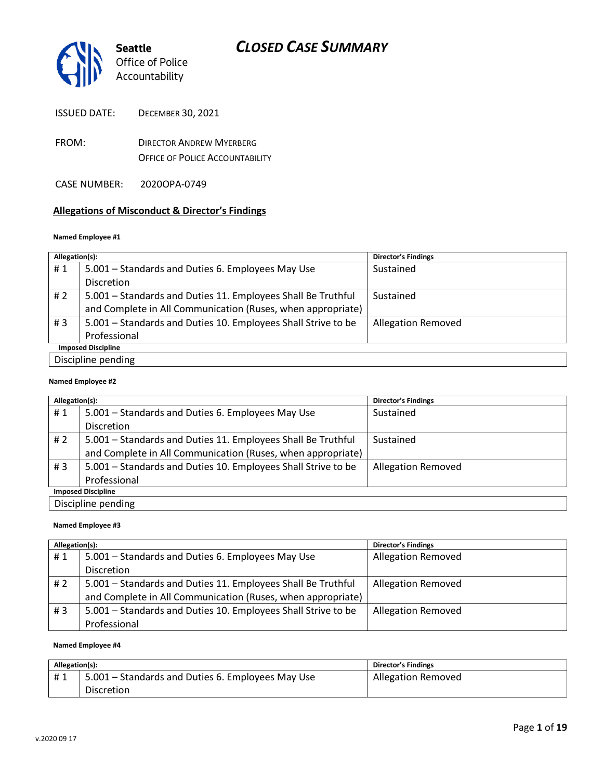

| <b>ISSUED DATE:</b> | <b>DECEMBER 30, 2021</b> |
|---------------------|--------------------------|
|---------------------|--------------------------|

- FROM: DIRECTOR ANDREW MYERBERG OFFICE OF POLICE ACCOUNTABILITY
- CASE NUMBER: 2020OPA-0749

### **Allegations of Misconduct & Director's Findings**

#### **Named Employee #1**

| Allegation(s):            |                                                               | <b>Director's Findings</b> |
|---------------------------|---------------------------------------------------------------|----------------------------|
| #1                        | 5.001 – Standards and Duties 6. Employees May Use             | Sustained                  |
|                           | <b>Discretion</b>                                             |                            |
| #2                        | 5.001 - Standards and Duties 11. Employees Shall Be Truthful  | Sustained                  |
|                           | and Complete in All Communication (Ruses, when appropriate)   |                            |
| #3                        | 5.001 – Standards and Duties 10. Employees Shall Strive to be | <b>Allegation Removed</b>  |
|                           | Professional                                                  |                            |
| <b>Imposed Discipline</b> |                                                               |                            |
|                           | Discipline pending                                            |                            |

#### **Named Employee #2**

| Allegation(s):            |                                                               | <b>Director's Findings</b> |
|---------------------------|---------------------------------------------------------------|----------------------------|
| #1                        | 5.001 – Standards and Duties 6. Employees May Use             | Sustained                  |
|                           | <b>Discretion</b>                                             |                            |
| #2                        | 5.001 - Standards and Duties 11. Employees Shall Be Truthful  | Sustained                  |
|                           | and Complete in All Communication (Ruses, when appropriate)   |                            |
| #3                        | 5.001 - Standards and Duties 10. Employees Shall Strive to be | <b>Allegation Removed</b>  |
|                           | Professional                                                  |                            |
| <b>Imposed Discipline</b> |                                                               |                            |
|                           | Discipline pending                                            |                            |

#### **Named Employee #3**

| Allegation(s): |                                                               | <b>Director's Findings</b> |
|----------------|---------------------------------------------------------------|----------------------------|
| #1             | 5.001 – Standards and Duties 6. Employees May Use             | <b>Allegation Removed</b>  |
|                | <b>Discretion</b>                                             |                            |
| # 2            | 5.001 - Standards and Duties 11. Employees Shall Be Truthful  | <b>Allegation Removed</b>  |
|                | and Complete in All Communication (Ruses, when appropriate)   |                            |
| #3             | 5.001 – Standards and Duties 10. Employees Shall Strive to be | <b>Allegation Removed</b>  |
|                | Professional                                                  |                            |

#### **Named Employee #4**

| Allegation(s): |                                                   | <b>Director's Findings</b> |
|----------------|---------------------------------------------------|----------------------------|
| #1             | 5.001 – Standards and Duties 6. Employees May Use | <b>Allegation Removed</b>  |
|                | <b>Discretion</b>                                 |                            |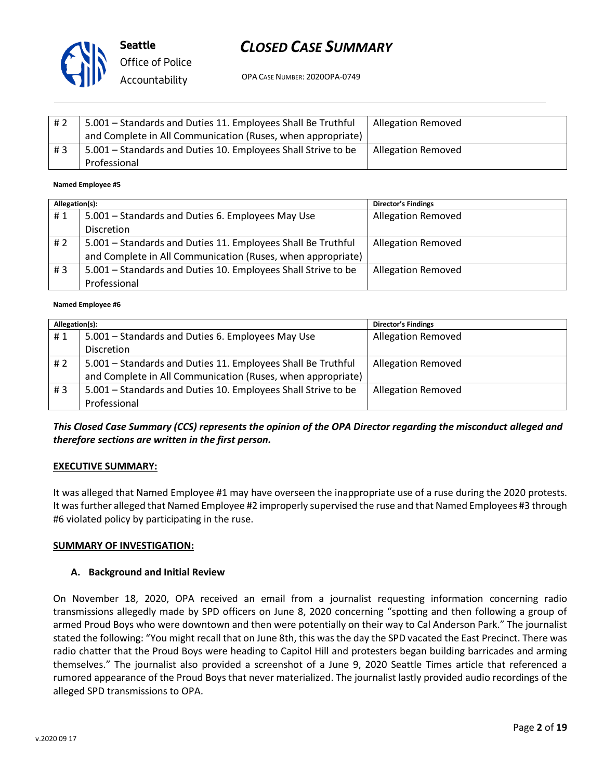

**Seattle** *Office of Police Accountability*

# *CLOSED CASE SUMMARY*

OPA CASE NUMBER: 2020OPA-0749

| # 2 | 5.001 - Standards and Duties 11. Employees Shall Be Truthful  | <b>Allegation Removed</b> |
|-----|---------------------------------------------------------------|---------------------------|
|     | and Complete in All Communication (Ruses, when appropriate)   |                           |
| #3  | 5.001 - Standards and Duties 10. Employees Shall Strive to be | <b>Allegation Removed</b> |
|     | Professional                                                  |                           |

#### **Named Employee #5**

| Allegation(s): |                                                               | <b>Director's Findings</b> |
|----------------|---------------------------------------------------------------|----------------------------|
| #1             | 5.001 – Standards and Duties 6. Employees May Use             | <b>Allegation Removed</b>  |
|                | <b>Discretion</b>                                             |                            |
| # 2            | 5.001 - Standards and Duties 11. Employees Shall Be Truthful  | <b>Allegation Removed</b>  |
|                | and Complete in All Communication (Ruses, when appropriate)   |                            |
| #3             | 5.001 – Standards and Duties 10. Employees Shall Strive to be | <b>Allegation Removed</b>  |
|                | Professional                                                  |                            |

#### **Named Employee #6**

| Allegation(s): |                                                               | <b>Director's Findings</b> |
|----------------|---------------------------------------------------------------|----------------------------|
| #1             | 5.001 – Standards and Duties 6. Employees May Use             | <b>Allegation Removed</b>  |
|                | <b>Discretion</b>                                             |                            |
| #2             | 5.001 - Standards and Duties 11. Employees Shall Be Truthful  | <b>Allegation Removed</b>  |
|                | and Complete in All Communication (Ruses, when appropriate)   |                            |
| # $3$          | 5.001 - Standards and Duties 10. Employees Shall Strive to be | <b>Allegation Removed</b>  |
|                | Professional                                                  |                            |

## *This Closed Case Summary (CCS) represents the opinion of the OPA Director regarding the misconduct alleged and therefore sections are written in the first person.*

### **EXECUTIVE SUMMARY:**

It was alleged that Named Employee #1 may have overseen the inappropriate use of a ruse during the 2020 protests. It was further alleged that Named Employee #2 improperly supervised the ruse and that Named Employees #3 through #6 violated policy by participating in the ruse.

### **SUMMARY OF INVESTIGATION:**

### **A. Background and Initial Review**

On November 18, 2020, OPA received an email from a journalist requesting information concerning radio transmissions allegedly made by SPD officers on June 8, 2020 concerning "spotting and then following a group of armed Proud Boys who were downtown and then were potentially on their way to Cal Anderson Park." The journalist stated the following: "You might recall that on June 8th, this was the day the SPD vacated the East Precinct. There was radio chatter that the Proud Boys were heading to Capitol Hill and protesters began building barricades and arming themselves." The journalist also provided a screenshot of a June 9, 2020 Seattle Times article that referenced a rumored appearance of the Proud Boys that never materialized. The journalist lastly provided audio recordings of the alleged SPD transmissions to OPA.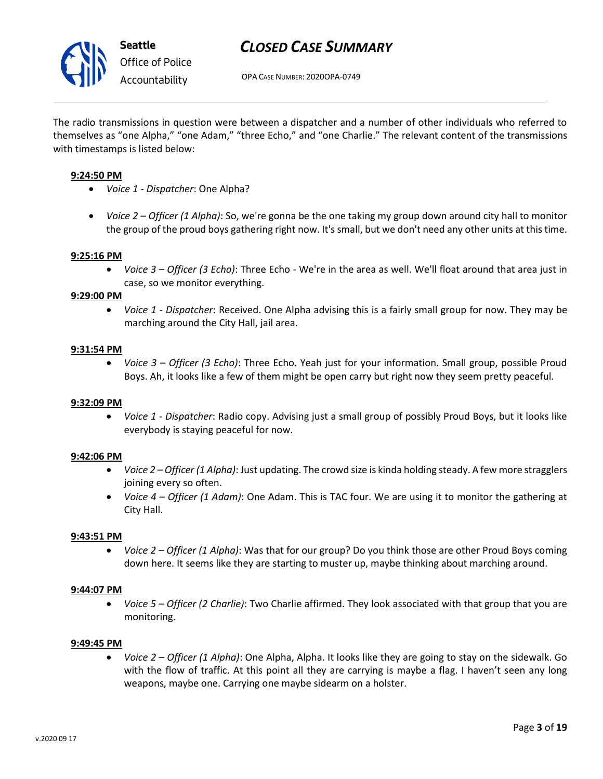

OPA CASE NUMBER: 2020OPA-0749

The radio transmissions in question were between a dispatcher and a number of other individuals who referred to themselves as "one Alpha," "one Adam," "three Echo," and "one Charlie." The relevant content of the transmissions with timestamps is listed below:

### **9:24:50 PM**

- *Voice 1 - Dispatcher*: One Alpha?
- *Voice 2 – Officer (1 Alpha)*: So, we're gonna be the one taking my group down around city hall to monitor the group of the proud boys gathering right now. It's small, but we don't need any other units at this time.

### **9:25:16 PM**

• *Voice 3 – Officer (3 Echo)*: Three Echo - We're in the area as well. We'll float around that area just in case, so we monitor everything.

### **9:29:00 PM**

• *Voice 1 - Dispatcher*: Received. One Alpha advising this is a fairly small group for now. They may be marching around the City Hall, jail area.

### **9:31:54 PM**

• *Voice 3 – Officer (3 Echo)*: Three Echo. Yeah just for your information. Small group, possible Proud Boys. Ah, it looks like a few of them might be open carry but right now they seem pretty peaceful.

### **9:32:09 PM**

• *Voice 1 - Dispatcher*: Radio copy. Advising just a small group of possibly Proud Boys, but it looks like everybody is staying peaceful for now.

### **9:42:06 PM**

- *Voice 2 – Officer (1 Alpha)*: Just updating. The crowd size is kinda holding steady. A few more stragglers joining every so often.
- *Voice 4 – Officer (1 Adam)*: One Adam. This is TAC four. We are using it to monitor the gathering at City Hall.

### **9:43:51 PM**

• *Voice 2 – Officer (1 Alpha)*: Was that for our group? Do you think those are other Proud Boys coming down here. It seems like they are starting to muster up, maybe thinking about marching around.

### **9:44:07 PM**

• *Voice 5 – Officer (2 Charlie)*: Two Charlie affirmed. They look associated with that group that you are monitoring.

### **9:49:45 PM**

• *Voice 2 – Officer (1 Alpha)*: One Alpha, Alpha. It looks like they are going to stay on the sidewalk. Go with the flow of traffic. At this point all they are carrying is maybe a flag. I haven't seen any long weapons, maybe one. Carrying one maybe sidearm on a holster.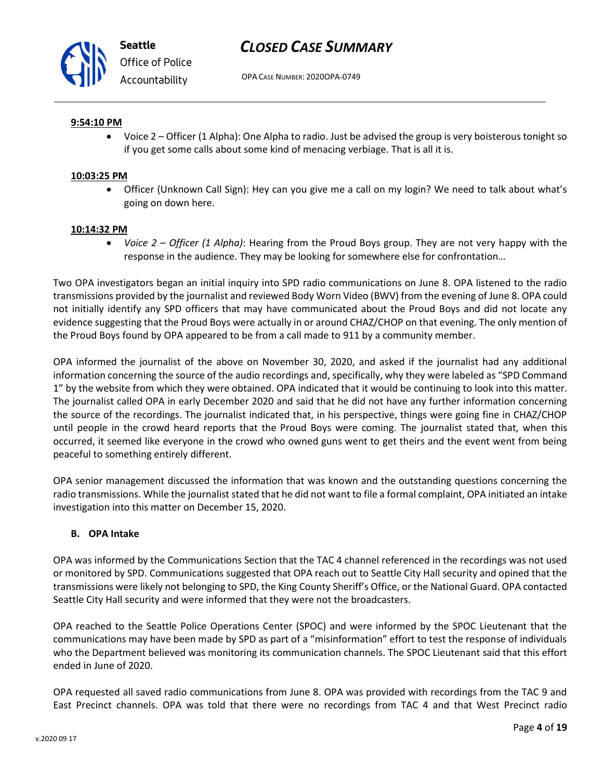

OPA CASE NUMBER: 2020OPA-0749

### **9:54:10 PM**

• Voice 2 – Officer (1 Alpha): One Alpha to radio. Just be advised the group is very boisterous tonight so if you get some calls about some kind of menacing verbiage. That is all it is.

### **10:03:25 PM**

• Officer (Unknown Call Sign): Hey can you give me a call on my login? We need to talk about what's going on down here.

### **10:14:32 PM**

• *Voice 2 – Officer (1 Alpha)*: Hearing from the Proud Boys group. They are not very happy with the response in the audience. They may be looking for somewhere else for confrontation…

Two OPA investigators began an initial inquiry into SPD radio communications on June 8. OPA listened to the radio transmissions provided by the journalist and reviewed Body Worn Video (BWV) from the evening of June 8. OPA could not initially identify any SPD officers that may have communicated about the Proud Boys and did not locate any evidence suggesting that the Proud Boys were actually in or around CHAZ/CHOP on that evening. The only mention of the Proud Boys found by OPA appeared to be from a call made to 911 by a community member.

OPA informed the journalist of the above on November 30, 2020, and asked if the journalist had any additional information concerning the source of the audio recordings and, specifically, why they were labeled as "SPD Command 1" by the website from which they were obtained. OPA indicated that it would be continuing to look into this matter. The journalist called OPA in early December 2020 and said that he did not have any further information concerning the source of the recordings. The journalist indicated that, in his perspective, things were going fine in CHAZ/CHOP until people in the crowd heard reports that the Proud Boys were coming. The journalist stated that, when this occurred, it seemed like everyone in the crowd who owned guns went to get theirs and the event went from being peaceful to something entirely different.

OPA senior management discussed the information that was known and the outstanding questions concerning the radio transmissions. While the journalist stated that he did not want to file a formal complaint, OPA initiated an intake investigation into this matter on December 15, 2020.

### **B. OPA Intake**

OPA was informed by the Communications Section that the TAC 4 channel referenced in the recordings was not used or monitored by SPD. Communications suggested that OPA reach out to Seattle City Hall security and opined that the transmissions were likely not belonging to SPD, the King County Sheriff's Office, or the National Guard. OPA contacted Seattle City Hall security and were informed that they were not the broadcasters.

OPA reached to the Seattle Police Operations Center (SPOC) and were informed by the SPOC Lieutenant that the communications may have been made by SPD as part of a "misinformation" effort to test the response of individuals who the Department believed was monitoring its communication channels. The SPOC Lieutenant said that this effort ended in June of 2020.

OPA requested all saved radio communications from June 8. OPA was provided with recordings from the TAC 9 and East Precinct channels. OPA was told that there were no recordings from TAC 4 and that West Precinct radio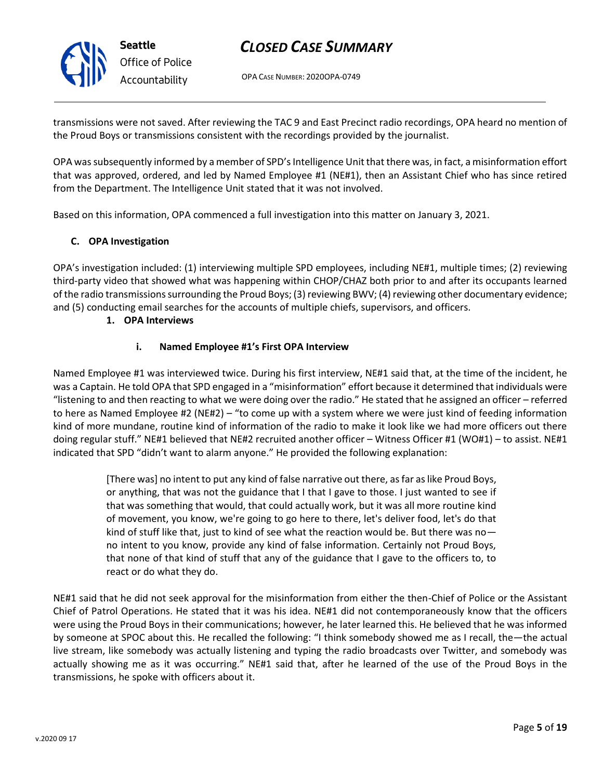**Seattle** *Office of Police Accountability*

# *CLOSED CASE SUMMARY*

OPA CASE NUMBER: 2020OPA-0749

transmissions were not saved. After reviewing the TAC 9 and East Precinct radio recordings, OPA heard no mention of the Proud Boys or transmissions consistent with the recordings provided by the journalist.

OPA was subsequently informed by a member of SPD's Intelligence Unit that there was, in fact, a misinformation effort that was approved, ordered, and led by Named Employee #1 (NE#1), then an Assistant Chief who has since retired from the Department. The Intelligence Unit stated that it was not involved.

Based on this information, OPA commenced a full investigation into this matter on January 3, 2021.

## **C. OPA Investigation**

OPA's investigation included: (1) interviewing multiple SPD employees, including NE#1, multiple times; (2) reviewing third-party video that showed what was happening within CHOP/CHAZ both prior to and after its occupants learned of the radio transmissions surrounding the Proud Boys; (3) reviewing BWV; (4) reviewing other documentary evidence; and (5) conducting email searches for the accounts of multiple chiefs, supervisors, and officers.

### **1. OPA Interviews**

## **i. Named Employee #1's First OPA Interview**

Named Employee #1 was interviewed twice. During his first interview, NE#1 said that, at the time of the incident, he was a Captain. He told OPA that SPD engaged in a "misinformation" effort because it determined that individuals were "listening to and then reacting to what we were doing over the radio." He stated that he assigned an officer – referred to here as Named Employee #2 (NE#2) – "to come up with a system where we were just kind of feeding information kind of more mundane, routine kind of information of the radio to make it look like we had more officers out there doing regular stuff." NE#1 believed that NE#2 recruited another officer – Witness Officer #1 (WO#1) – to assist. NE#1 indicated that SPD "didn't want to alarm anyone." He provided the following explanation:

> [There was] no intent to put any kind of false narrative out there, as far as like Proud Boys, or anything, that was not the guidance that I that I gave to those. I just wanted to see if that was something that would, that could actually work, but it was all more routine kind of movement, you know, we're going to go here to there, let's deliver food, let's do that kind of stuff like that, just to kind of see what the reaction would be. But there was no no intent to you know, provide any kind of false information. Certainly not Proud Boys, that none of that kind of stuff that any of the guidance that I gave to the officers to, to react or do what they do.

NE#1 said that he did not seek approval for the misinformation from either the then-Chief of Police or the Assistant Chief of Patrol Operations. He stated that it was his idea. NE#1 did not contemporaneously know that the officers were using the Proud Boys in their communications; however, he later learned this. He believed that he was informed by someone at SPOC about this. He recalled the following: "I think somebody showed me as I recall, the—the actual live stream, like somebody was actually listening and typing the radio broadcasts over Twitter, and somebody was actually showing me as it was occurring." NE#1 said that, after he learned of the use of the Proud Boys in the transmissions, he spoke with officers about it.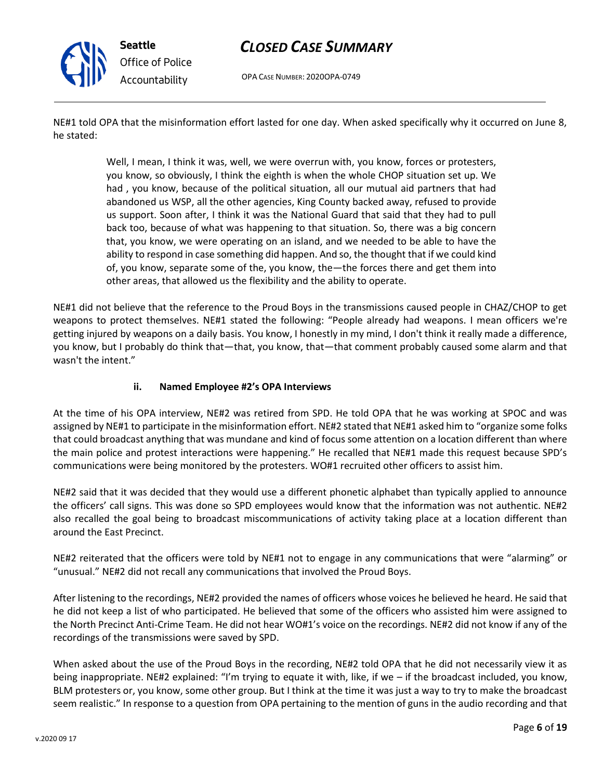

OPA CASE NUMBER: 2020OPA-0749

NE#1 told OPA that the misinformation effort lasted for one day. When asked specifically why it occurred on June 8, he stated:

> Well, I mean, I think it was, well, we were overrun with, you know, forces or protesters, you know, so obviously, I think the eighth is when the whole CHOP situation set up. We had , you know, because of the political situation, all our mutual aid partners that had abandoned us WSP, all the other agencies, King County backed away, refused to provide us support. Soon after, I think it was the National Guard that said that they had to pull back too, because of what was happening to that situation. So, there was a big concern that, you know, we were operating on an island, and we needed to be able to have the ability to respond in case something did happen. And so, the thought that if we could kind of, you know, separate some of the, you know, the—the forces there and get them into other areas, that allowed us the flexibility and the ability to operate.

NE#1 did not believe that the reference to the Proud Boys in the transmissions caused people in CHAZ/CHOP to get weapons to protect themselves. NE#1 stated the following: "People already had weapons. I mean officers we're getting injured by weapons on a daily basis. You know, I honestly in my mind, I don't think it really made a difference, you know, but I probably do think that—that, you know, that—that comment probably caused some alarm and that wasn't the intent."

## **ii. Named Employee #2's OPA Interviews**

At the time of his OPA interview, NE#2 was retired from SPD. He told OPA that he was working at SPOC and was assigned by NE#1 to participate in the misinformation effort. NE#2 stated that NE#1 asked him to "organize some folks that could broadcast anything that was mundane and kind of focus some attention on a location different than where the main police and protest interactions were happening." He recalled that NE#1 made this request because SPD's communications were being monitored by the protesters. WO#1 recruited other officers to assist him.

NE#2 said that it was decided that they would use a different phonetic alphabet than typically applied to announce the officers' call signs. This was done so SPD employees would know that the information was not authentic. NE#2 also recalled the goal being to broadcast miscommunications of activity taking place at a location different than around the East Precinct.

NE#2 reiterated that the officers were told by NE#1 not to engage in any communications that were "alarming" or "unusual." NE#2 did not recall any communications that involved the Proud Boys.

After listening to the recordings, NE#2 provided the names of officers whose voices he believed he heard. He said that he did not keep a list of who participated. He believed that some of the officers who assisted him were assigned to the North Precinct Anti-Crime Team. He did not hear WO#1's voice on the recordings. NE#2 did not know if any of the recordings of the transmissions were saved by SPD.

When asked about the use of the Proud Boys in the recording, NE#2 told OPA that he did not necessarily view it as being inappropriate. NE#2 explained: "I'm trying to equate it with, like, if we – if the broadcast included, you know, BLM protesters or, you know, some other group. But I think at the time it was just a way to try to make the broadcast seem realistic." In response to a question from OPA pertaining to the mention of guns in the audio recording and that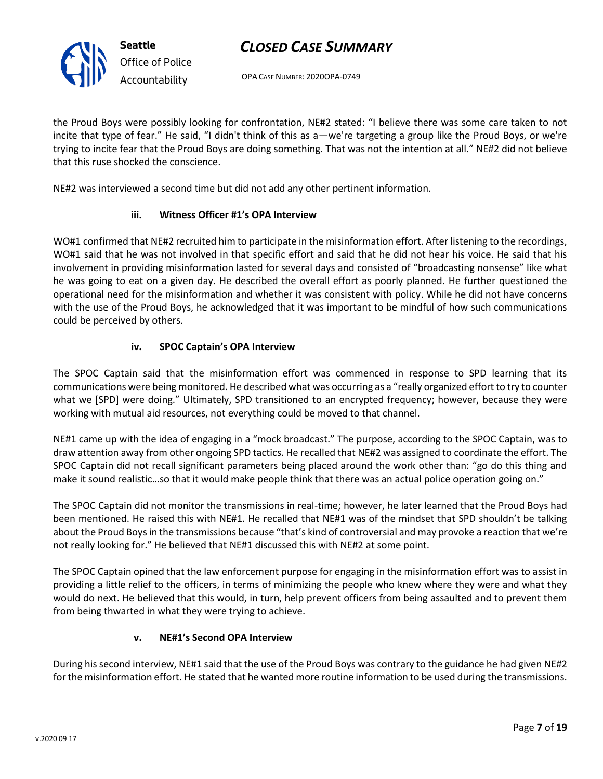

OPA CASE NUMBER: 2020OPA-0749

the Proud Boys were possibly looking for confrontation, NE#2 stated: "I believe there was some care taken to not incite that type of fear." He said, "I didn't think of this as a—we're targeting a group like the Proud Boys, or we're trying to incite fear that the Proud Boys are doing something. That was not the intention at all." NE#2 did not believe that this ruse shocked the conscience.

NE#2 was interviewed a second time but did not add any other pertinent information.

# **iii. Witness Officer #1's OPA Interview**

WO#1 confirmed that NE#2 recruited him to participate in the misinformation effort. After listening to the recordings, WO#1 said that he was not involved in that specific effort and said that he did not hear his voice. He said that his involvement in providing misinformation lasted for several days and consisted of "broadcasting nonsense" like what he was going to eat on a given day. He described the overall effort as poorly planned. He further questioned the operational need for the misinformation and whether it was consistent with policy. While he did not have concerns with the use of the Proud Boys, he acknowledged that it was important to be mindful of how such communications could be perceived by others.

# **iv. SPOC Captain's OPA Interview**

The SPOC Captain said that the misinformation effort was commenced in response to SPD learning that its communications were being monitored. He described what was occurring as a "really organized effort to try to counter what we [SPD] were doing." Ultimately, SPD transitioned to an encrypted frequency; however, because they were working with mutual aid resources, not everything could be moved to that channel.

NE#1 came up with the idea of engaging in a "mock broadcast." The purpose, according to the SPOC Captain, was to draw attention away from other ongoing SPD tactics. He recalled that NE#2 was assigned to coordinate the effort. The SPOC Captain did not recall significant parameters being placed around the work other than: "go do this thing and make it sound realistic…so that it would make people think that there was an actual police operation going on."

The SPOC Captain did not monitor the transmissions in real-time; however, he later learned that the Proud Boys had been mentioned. He raised this with NE#1. He recalled that NE#1 was of the mindset that SPD shouldn't be talking about the Proud Boys in the transmissions because "that's kind of controversial and may provoke a reaction that we're not really looking for." He believed that NE#1 discussed this with NE#2 at some point.

The SPOC Captain opined that the law enforcement purpose for engaging in the misinformation effort was to assist in providing a little relief to the officers, in terms of minimizing the people who knew where they were and what they would do next. He believed that this would, in turn, help prevent officers from being assaulted and to prevent them from being thwarted in what they were trying to achieve.

## **v. NE#1's Second OPA Interview**

During his second interview, NE#1 said that the use of the Proud Boys was contrary to the guidance he had given NE#2 for the misinformation effort. He stated that he wanted more routine information to be used during the transmissions.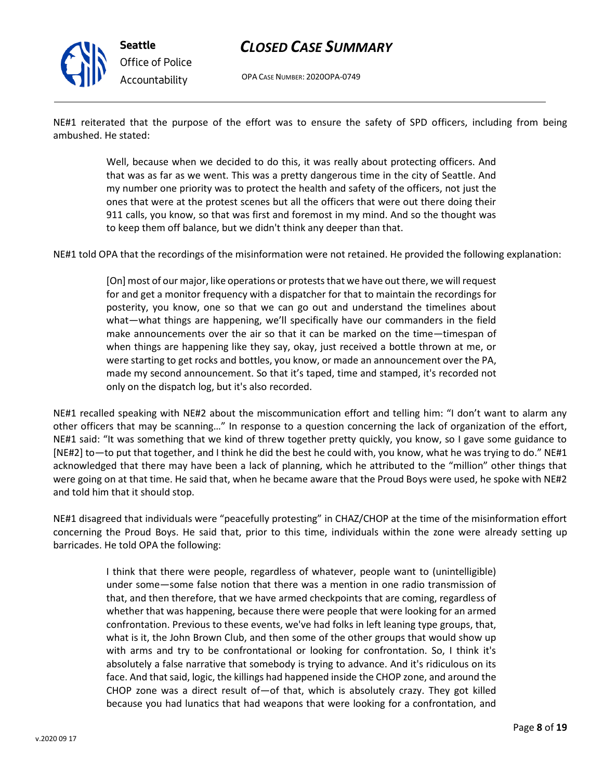

OPA CASE NUMBER: 2020OPA-0749

NE#1 reiterated that the purpose of the effort was to ensure the safety of SPD officers, including from being ambushed. He stated:

> Well, because when we decided to do this, it was really about protecting officers. And that was as far as we went. This was a pretty dangerous time in the city of Seattle. And my number one priority was to protect the health and safety of the officers, not just the ones that were at the protest scenes but all the officers that were out there doing their 911 calls, you know, so that was first and foremost in my mind. And so the thought was to keep them off balance, but we didn't think any deeper than that.

NE#1 told OPA that the recordings of the misinformation were not retained. He provided the following explanation:

[On] most of our major, like operations or protests that we have out there, we will request for and get a monitor frequency with a dispatcher for that to maintain the recordings for posterity, you know, one so that we can go out and understand the timelines about what—what things are happening, we'll specifically have our commanders in the field make announcements over the air so that it can be marked on the time—timespan of when things are happening like they say, okay, just received a bottle thrown at me, or were starting to get rocks and bottles, you know, or made an announcement over the PA, made my second announcement. So that it's taped, time and stamped, it's recorded not only on the dispatch log, but it's also recorded.

NE#1 recalled speaking with NE#2 about the miscommunication effort and telling him: "I don't want to alarm any other officers that may be scanning…" In response to a question concerning the lack of organization of the effort, NE#1 said: "It was something that we kind of threw together pretty quickly, you know, so I gave some guidance to [NE#2] to—to put that together, and I think he did the best he could with, you know, what he was trying to do." NE#1 acknowledged that there may have been a lack of planning, which he attributed to the "million" other things that were going on at that time. He said that, when he became aware that the Proud Boys were used, he spoke with NE#2 and told him that it should stop.

NE#1 disagreed that individuals were "peacefully protesting" in CHAZ/CHOP at the time of the misinformation effort concerning the Proud Boys. He said that, prior to this time, individuals within the zone were already setting up barricades. He told OPA the following:

> I think that there were people, regardless of whatever, people want to (unintelligible) under some—some false notion that there was a mention in one radio transmission of that, and then therefore, that we have armed checkpoints that are coming, regardless of whether that was happening, because there were people that were looking for an armed confrontation. Previous to these events, we've had folks in left leaning type groups, that, what is it, the John Brown Club, and then some of the other groups that would show up with arms and try to be confrontational or looking for confrontation. So, I think it's absolutely a false narrative that somebody is trying to advance. And it's ridiculous on its face. And that said, logic, the killings had happened inside the CHOP zone, and around the CHOP zone was a direct result of—of that, which is absolutely crazy. They got killed because you had lunatics that had weapons that were looking for a confrontation, and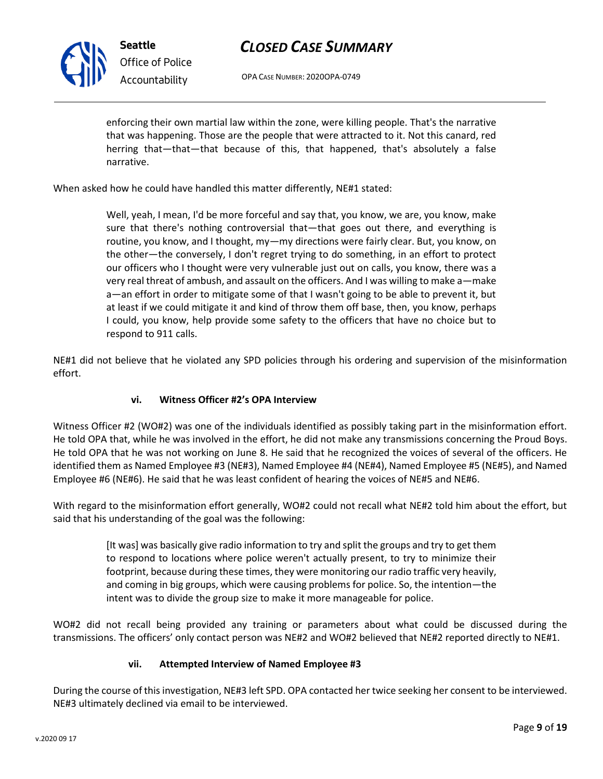

OPA CASE NUMBER: 2020OPA-0749

enforcing their own martial law within the zone, were killing people. That's the narrative that was happening. Those are the people that were attracted to it. Not this canard, red herring that—that—that because of this, that happened, that's absolutely a false narrative.

When asked how he could have handled this matter differently, NE#1 stated:

Well, yeah, I mean, I'd be more forceful and say that, you know, we are, you know, make sure that there's nothing controversial that—that goes out there, and everything is routine, you know, and I thought, my—my directions were fairly clear. But, you know, on the other—the conversely, I don't regret trying to do something, in an effort to protect our officers who I thought were very vulnerable just out on calls, you know, there was a very real threat of ambush, and assault on the officers. And I was willing to make a—make a—an effort in order to mitigate some of that I wasn't going to be able to prevent it, but at least if we could mitigate it and kind of throw them off base, then, you know, perhaps I could, you know, help provide some safety to the officers that have no choice but to respond to 911 calls.

NE#1 did not believe that he violated any SPD policies through his ordering and supervision of the misinformation effort.

## **vi. Witness Officer #2's OPA Interview**

Witness Officer #2 (WO#2) was one of the individuals identified as possibly taking part in the misinformation effort. He told OPA that, while he was involved in the effort, he did not make any transmissions concerning the Proud Boys. He told OPA that he was not working on June 8. He said that he recognized the voices of several of the officers. He identified them as Named Employee #3 (NE#3), Named Employee #4 (NE#4), Named Employee #5 (NE#5), and Named Employee #6 (NE#6). He said that he was least confident of hearing the voices of NE#5 and NE#6.

With regard to the misinformation effort generally, WO#2 could not recall what NE#2 told him about the effort, but said that his understanding of the goal was the following:

> [It was] was basically give radio information to try and split the groups and try to get them to respond to locations where police weren't actually present, to try to minimize their footprint, because during these times, they were monitoring our radio traffic very heavily, and coming in big groups, which were causing problems for police. So, the intention—the intent was to divide the group size to make it more manageable for police.

WO#2 did not recall being provided any training or parameters about what could be discussed during the transmissions. The officers' only contact person was NE#2 and WO#2 believed that NE#2 reported directly to NE#1.

## **vii. Attempted Interview of Named Employee #3**

During the course of this investigation, NE#3 left SPD. OPA contacted her twice seeking her consent to be interviewed. NE#3 ultimately declined via email to be interviewed.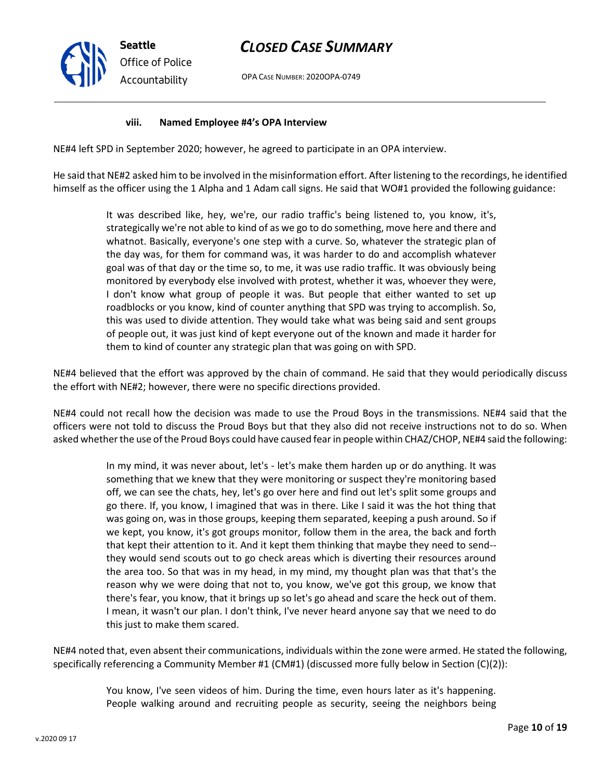OPA CASE NUMBER: 2020OPA-0749

### **viii. Named Employee #4's OPA Interview**

NE#4 left SPD in September 2020; however, he agreed to participate in an OPA interview.

He said that NE#2 asked him to be involved in the misinformation effort. After listening to the recordings, he identified himself as the officer using the 1 Alpha and 1 Adam call signs. He said that WO#1 provided the following guidance:

> It was described like, hey, we're, our radio traffic's being listened to, you know, it's, strategically we're not able to kind of as we go to do something, move here and there and whatnot. Basically, everyone's one step with a curve. So, whatever the strategic plan of the day was, for them for command was, it was harder to do and accomplish whatever goal was of that day or the time so, to me, it was use radio traffic. It was obviously being monitored by everybody else involved with protest, whether it was, whoever they were, I don't know what group of people it was. But people that either wanted to set up roadblocks or you know, kind of counter anything that SPD was trying to accomplish. So, this was used to divide attention. They would take what was being said and sent groups of people out, it was just kind of kept everyone out of the known and made it harder for them to kind of counter any strategic plan that was going on with SPD.

NE#4 believed that the effort was approved by the chain of command. He said that they would periodically discuss the effort with NE#2; however, there were no specific directions provided.

NE#4 could not recall how the decision was made to use the Proud Boys in the transmissions. NE#4 said that the officers were not told to discuss the Proud Boys but that they also did not receive instructions not to do so. When asked whether the use of the Proud Boys could have caused fear in people within CHAZ/CHOP, NE#4 said the following:

> In my mind, it was never about, let's - let's make them harden up or do anything. It was something that we knew that they were monitoring or suspect they're monitoring based off, we can see the chats, hey, let's go over here and find out let's split some groups and go there. If, you know, I imagined that was in there. Like I said it was the hot thing that was going on, was in those groups, keeping them separated, keeping a push around. So if we kept, you know, it's got groups monitor, follow them in the area, the back and forth that kept their attention to it. And it kept them thinking that maybe they need to send- they would send scouts out to go check areas which is diverting their resources around the area too. So that was in my head, in my mind, my thought plan was that that's the reason why we were doing that not to, you know, we've got this group, we know that there's fear, you know, that it brings up so let's go ahead and scare the heck out of them. I mean, it wasn't our plan. I don't think, I've never heard anyone say that we need to do this just to make them scared.

NE#4 noted that, even absent their communications, individuals within the zone were armed. He stated the following, specifically referencing a Community Member #1 (CM#1) (discussed more fully below in Section (C)(2)):

> You know, I've seen videos of him. During the time, even hours later as it's happening. People walking around and recruiting people as security, seeing the neighbors being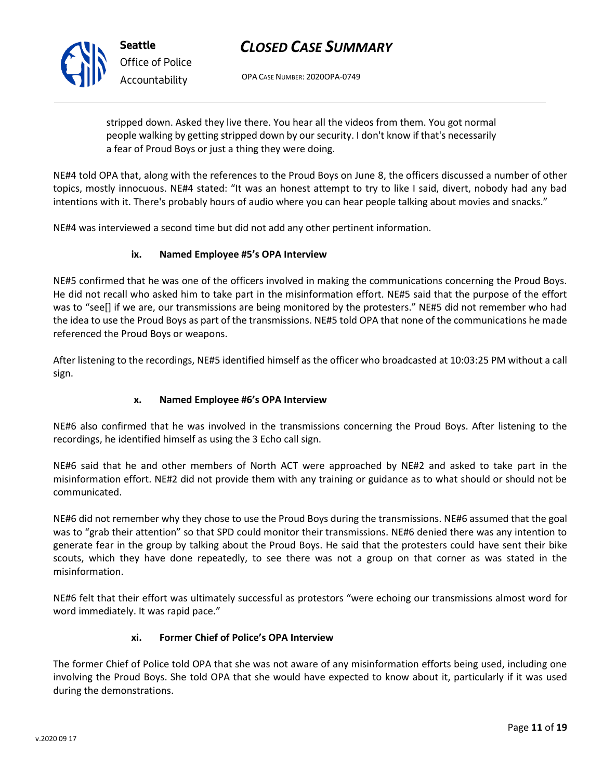OPA CASE NUMBER: 2020OPA-0749

stripped down. Asked they live there. You hear all the videos from them. You got normal people walking by getting stripped down by our security. I don't know if that's necessarily a fear of Proud Boys or just a thing they were doing.

NE#4 told OPA that, along with the references to the Proud Boys on June 8, the officers discussed a number of other topics, mostly innocuous. NE#4 stated: "It was an honest attempt to try to like I said, divert, nobody had any bad intentions with it. There's probably hours of audio where you can hear people talking about movies and snacks."

NE#4 was interviewed a second time but did not add any other pertinent information.

# **ix. Named Employee #5's OPA Interview**

NE#5 confirmed that he was one of the officers involved in making the communications concerning the Proud Boys. He did not recall who asked him to take part in the misinformation effort. NE#5 said that the purpose of the effort was to "see[] if we are, our transmissions are being monitored by the protesters." NE#5 did not remember who had the idea to use the Proud Boys as part of the transmissions. NE#5 told OPA that none of the communications he made referenced the Proud Boys or weapons.

After listening to the recordings, NE#5 identified himself as the officer who broadcasted at 10:03:25 PM without a call sign.

# **x. Named Employee #6's OPA Interview**

NE#6 also confirmed that he was involved in the transmissions concerning the Proud Boys. After listening to the recordings, he identified himself as using the 3 Echo call sign.

NE#6 said that he and other members of North ACT were approached by NE#2 and asked to take part in the misinformation effort. NE#2 did not provide them with any training or guidance as to what should or should not be communicated.

NE#6 did not remember why they chose to use the Proud Boys during the transmissions. NE#6 assumed that the goal was to "grab their attention" so that SPD could monitor their transmissions. NE#6 denied there was any intention to generate fear in the group by talking about the Proud Boys. He said that the protesters could have sent their bike scouts, which they have done repeatedly, to see there was not a group on that corner as was stated in the misinformation.

NE#6 felt that their effort was ultimately successful as protestors "were echoing our transmissions almost word for word immediately. It was rapid pace."

# **xi. Former Chief of Police's OPA Interview**

The former Chief of Police told OPA that she was not aware of any misinformation efforts being used, including one involving the Proud Boys. She told OPA that she would have expected to know about it, particularly if it was used during the demonstrations.

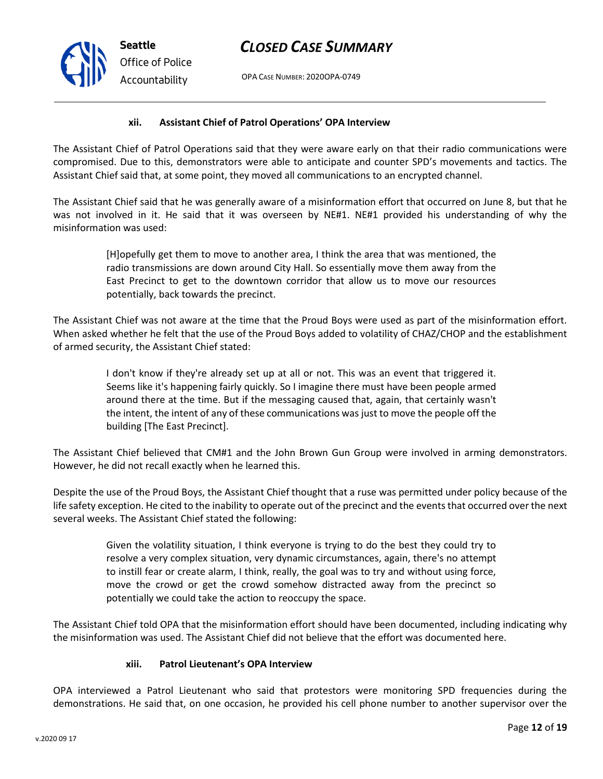OPA CASE NUMBER: 2020OPA-0749

### **xii. Assistant Chief of Patrol Operations' OPA Interview**

The Assistant Chief of Patrol Operations said that they were aware early on that their radio communications were compromised. Due to this, demonstrators were able to anticipate and counter SPD's movements and tactics. The Assistant Chief said that, at some point, they moved all communications to an encrypted channel.

The Assistant Chief said that he was generally aware of a misinformation effort that occurred on June 8, but that he was not involved in it. He said that it was overseen by NE#1. NE#1 provided his understanding of why the misinformation was used:

> [H]opefully get them to move to another area, I think the area that was mentioned, the radio transmissions are down around City Hall. So essentially move them away from the East Precinct to get to the downtown corridor that allow us to move our resources potentially, back towards the precinct.

The Assistant Chief was not aware at the time that the Proud Boys were used as part of the misinformation effort. When asked whether he felt that the use of the Proud Boys added to volatility of CHAZ/CHOP and the establishment of armed security, the Assistant Chief stated:

> I don't know if they're already set up at all or not. This was an event that triggered it. Seems like it's happening fairly quickly. So I imagine there must have been people armed around there at the time. But if the messaging caused that, again, that certainly wasn't the intent, the intent of any of these communications was just to move the people off the building [The East Precinct].

The Assistant Chief believed that CM#1 and the John Brown Gun Group were involved in arming demonstrators. However, he did not recall exactly when he learned this.

Despite the use of the Proud Boys, the Assistant Chief thought that a ruse was permitted under policy because of the life safety exception. He cited to the inability to operate out of the precinct and the events that occurred over the next several weeks. The Assistant Chief stated the following:

> Given the volatility situation, I think everyone is trying to do the best they could try to resolve a very complex situation, very dynamic circumstances, again, there's no attempt to instill fear or create alarm, I think, really, the goal was to try and without using force, move the crowd or get the crowd somehow distracted away from the precinct so potentially we could take the action to reoccupy the space.

The Assistant Chief told OPA that the misinformation effort should have been documented, including indicating why the misinformation was used. The Assistant Chief did not believe that the effort was documented here.

### **xiii. Patrol Lieutenant's OPA Interview**

OPA interviewed a Patrol Lieutenant who said that protestors were monitoring SPD frequencies during the demonstrations. He said that, on one occasion, he provided his cell phone number to another supervisor over the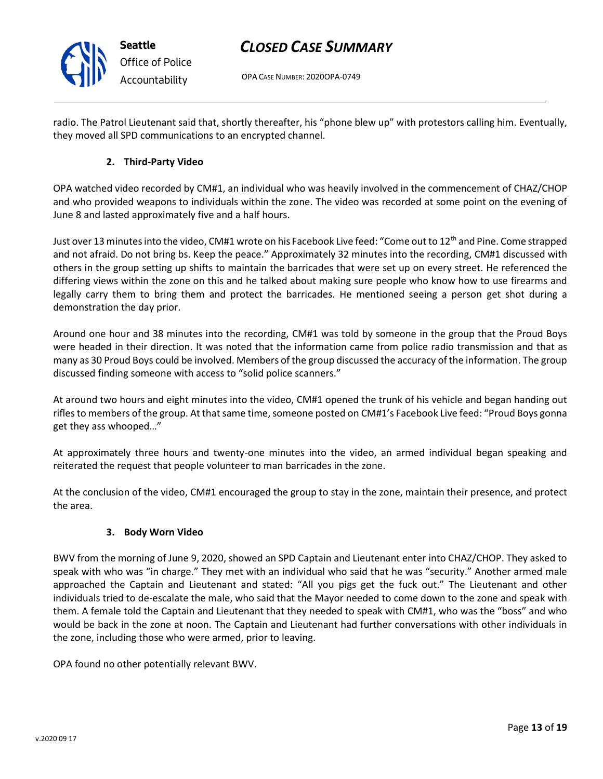OPA CASE NUMBER: 2020OPA-0749

radio. The Patrol Lieutenant said that, shortly thereafter, his "phone blew up" with protestors calling him. Eventually, they moved all SPD communications to an encrypted channel.

# **2. Third-Party Video**

**Seattle**

*Office of Police Accountability*

OPA watched video recorded by CM#1, an individual who was heavily involved in the commencement of CHAZ/CHOP and who provided weapons to individuals within the zone. The video was recorded at some point on the evening of June 8 and lasted approximately five and a half hours.

Just over 13 minutes into the video, CM#1 wrote on his Facebook Live feed: "Come out to 12<sup>th</sup> and Pine. Come strapped and not afraid. Do not bring bs. Keep the peace." Approximately 32 minutes into the recording, CM#1 discussed with others in the group setting up shifts to maintain the barricades that were set up on every street. He referenced the differing views within the zone on this and he talked about making sure people who know how to use firearms and legally carry them to bring them and protect the barricades. He mentioned seeing a person get shot during a demonstration the day prior.

Around one hour and 38 minutes into the recording, CM#1 was told by someone in the group that the Proud Boys were headed in their direction. It was noted that the information came from police radio transmission and that as many as 30 Proud Boys could be involved. Members of the group discussed the accuracy of the information. The group discussed finding someone with access to "solid police scanners."

At around two hours and eight minutes into the video, CM#1 opened the trunk of his vehicle and began handing out rifles to members of the group. At that same time, someone posted on CM#1's Facebook Live feed: "Proud Boys gonna get they ass whooped…"

At approximately three hours and twenty-one minutes into the video, an armed individual began speaking and reiterated the request that people volunteer to man barricades in the zone.

At the conclusion of the video, CM#1 encouraged the group to stay in the zone, maintain their presence, and protect the area.

## **3. Body Worn Video**

BWV from the morning of June 9, 2020, showed an SPD Captain and Lieutenant enter into CHAZ/CHOP. They asked to speak with who was "in charge." They met with an individual who said that he was "security." Another armed male approached the Captain and Lieutenant and stated: "All you pigs get the fuck out." The Lieutenant and other individuals tried to de-escalate the male, who said that the Mayor needed to come down to the zone and speak with them. A female told the Captain and Lieutenant that they needed to speak with CM#1, who was the "boss" and who would be back in the zone at noon. The Captain and Lieutenant had further conversations with other individuals in the zone, including those who were armed, prior to leaving.

OPA found no other potentially relevant BWV.

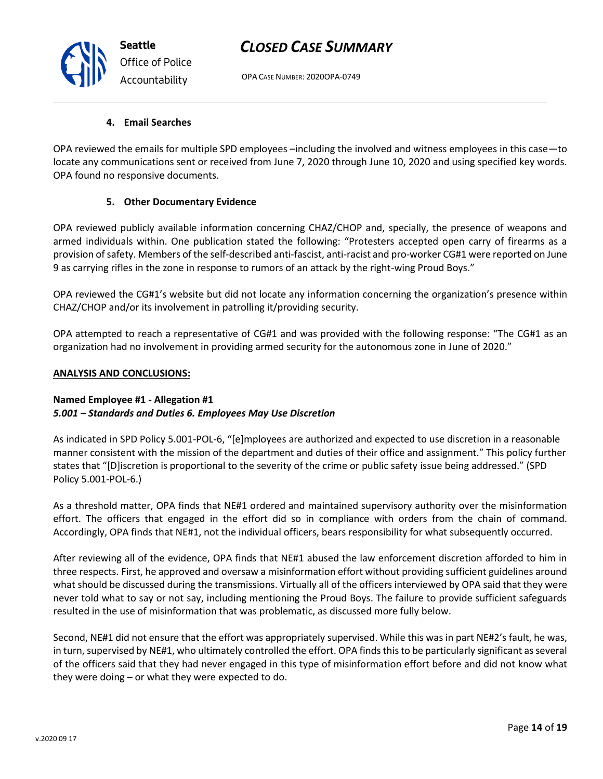OPA CASE NUMBER: 2020OPA-0749

# **4. Email Searches**

OPA reviewed the emails for multiple SPD employees –including the involved and witness employees in this case—to locate any communications sent or received from June 7, 2020 through June 10, 2020 and using specified key words. OPA found no responsive documents.

# **5. Other Documentary Evidence**

OPA reviewed publicly available information concerning CHAZ/CHOP and, specially, the presence of weapons and armed individuals within. One publication stated the following: "Protesters accepted open carry of firearms as a provision of safety. Members of the self-described anti-fascist, anti-racist and pro-worker CG#1 were reported on June 9 as carrying rifles in the zone in response to rumors of an attack by the right-wing Proud Boys."

OPA reviewed the CG#1's website but did not locate any information concerning the organization's presence within CHAZ/CHOP and/or its involvement in patrolling it/providing security.

OPA attempted to reach a representative of CG#1 and was provided with the following response: "The CG#1 as an organization had no involvement in providing armed security for the autonomous zone in June of 2020."

# **ANALYSIS AND CONCLUSIONS:**

# **Named Employee #1 - Allegation #1** *5.001 – Standards and Duties 6. Employees May Use Discretion*

As indicated in SPD Policy 5.001-POL-6, "[e]mployees are authorized and expected to use discretion in a reasonable manner consistent with the mission of the department and duties of their office and assignment." This policy further states that "[D]iscretion is proportional to the severity of the crime or public safety issue being addressed." (SPD Policy 5.001-POL-6.)

As a threshold matter, OPA finds that NE#1 ordered and maintained supervisory authority over the misinformation effort. The officers that engaged in the effort did so in compliance with orders from the chain of command. Accordingly, OPA finds that NE#1, not the individual officers, bears responsibility for what subsequently occurred.

After reviewing all of the evidence, OPA finds that NE#1 abused the law enforcement discretion afforded to him in three respects. First, he approved and oversaw a misinformation effort without providing sufficient guidelines around what should be discussed during the transmissions. Virtually all of the officers interviewed by OPA said that they were never told what to say or not say, including mentioning the Proud Boys. The failure to provide sufficient safeguards resulted in the use of misinformation that was problematic, as discussed more fully below.

Second, NE#1 did not ensure that the effort was appropriately supervised. While this was in part NE#2's fault, he was, in turn, supervised by NE#1, who ultimately controlled the effort. OPA finds this to be particularly significant as several of the officers said that they had never engaged in this type of misinformation effort before and did not know what they were doing – or what they were expected to do.



*Office of Police Accountability*

**Seattle**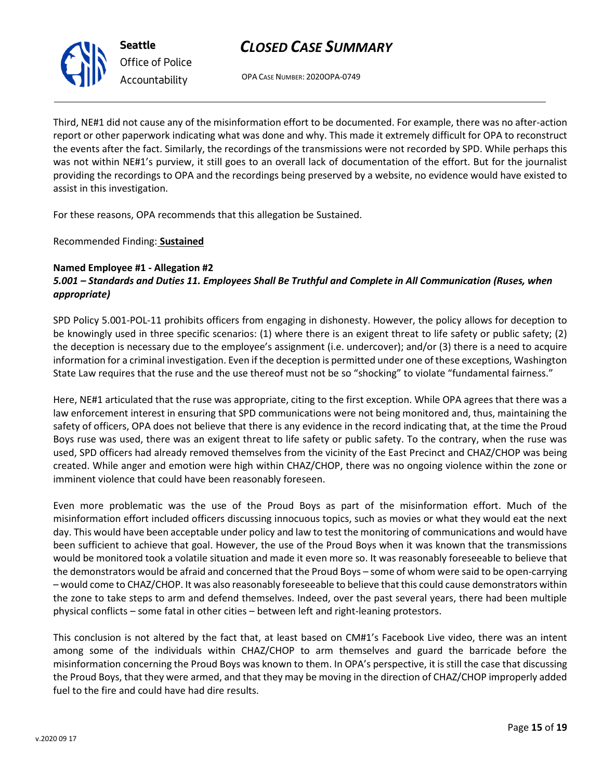OPA CASE NUMBER: 2020OPA-0749

Third, NE#1 did not cause any of the misinformation effort to be documented. For example, there was no after-action report or other paperwork indicating what was done and why. This made it extremely difficult for OPA to reconstruct the events after the fact. Similarly, the recordings of the transmissions were not recorded by SPD. While perhaps this was not within NE#1's purview, it still goes to an overall lack of documentation of the effort. But for the journalist providing the recordings to OPA and the recordings being preserved by a website, no evidence would have existed to assist in this investigation.

For these reasons, OPA recommends that this allegation be Sustained.

Recommended Finding: **Sustained**

### **Named Employee #1 - Allegation #2** *5.001 – Standards and Duties 11. Employees Shall Be Truthful and Complete in All Communication (Ruses, when appropriate)*

SPD Policy 5.001-POL-11 prohibits officers from engaging in dishonesty. However, the policy allows for deception to be knowingly used in three specific scenarios: (1) where there is an exigent threat to life safety or public safety; (2) the deception is necessary due to the employee's assignment (i.e. undercover); and/or (3) there is a need to acquire information for a criminal investigation. Even if the deception is permitted under one of these exceptions, Washington State Law requires that the ruse and the use thereof must not be so "shocking" to violate "fundamental fairness."

Here, NE#1 articulated that the ruse was appropriate, citing to the first exception. While OPA agrees that there was a law enforcement interest in ensuring that SPD communications were not being monitored and, thus, maintaining the safety of officers, OPA does not believe that there is any evidence in the record indicating that, at the time the Proud Boys ruse was used, there was an exigent threat to life safety or public safety. To the contrary, when the ruse was used, SPD officers had already removed themselves from the vicinity of the East Precinct and CHAZ/CHOP was being created. While anger and emotion were high within CHAZ/CHOP, there was no ongoing violence within the zone or imminent violence that could have been reasonably foreseen.

Even more problematic was the use of the Proud Boys as part of the misinformation effort. Much of the misinformation effort included officers discussing innocuous topics, such as movies or what they would eat the next day. This would have been acceptable under policy and law to test the monitoring of communications and would have been sufficient to achieve that goal. However, the use of the Proud Boys when it was known that the transmissions would be monitored took a volatile situation and made it even more so. It was reasonably foreseeable to believe that the demonstrators would be afraid and concerned that the Proud Boys – some of whom were said to be open-carrying – would come to CHAZ/CHOP. It was also reasonably foreseeable to believe that this could cause demonstrators within the zone to take steps to arm and defend themselves. Indeed, over the past several years, there had been multiple physical conflicts – some fatal in other cities – between left and right-leaning protestors.

This conclusion is not altered by the fact that, at least based on CM#1's Facebook Live video, there was an intent among some of the individuals within CHAZ/CHOP to arm themselves and guard the barricade before the misinformation concerning the Proud Boys was known to them. In OPA's perspective, it is still the case that discussing the Proud Boys, that they were armed, and that they may be moving in the direction of CHAZ/CHOP improperly added fuel to the fire and could have had dire results.

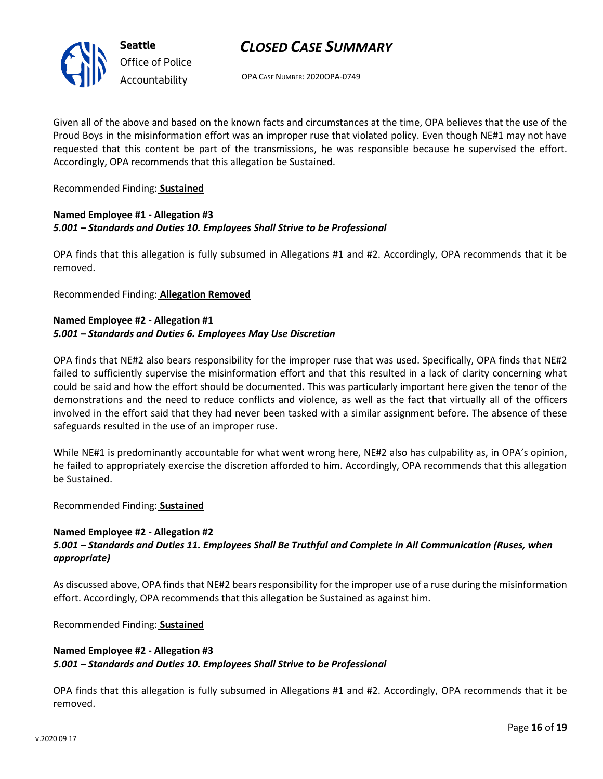

**Seattle** *Office of Police Accountability*

# *CLOSED CASE SUMMARY*

OPA CASE NUMBER: 2020OPA-0749

Given all of the above and based on the known facts and circumstances at the time, OPA believes that the use of the Proud Boys in the misinformation effort was an improper ruse that violated policy. Even though NE#1 may not have requested that this content be part of the transmissions, he was responsible because he supervised the effort. Accordingly, OPA recommends that this allegation be Sustained.

### Recommended Finding: **Sustained**

### **Named Employee #1 - Allegation #3** *5.001 – Standards and Duties 10. Employees Shall Strive to be Professional*

OPA finds that this allegation is fully subsumed in Allegations #1 and #2. Accordingly, OPA recommends that it be removed.

Recommended Finding: **Allegation Removed**

### **Named Employee #2 - Allegation #1** *5.001 – Standards and Duties 6. Employees May Use Discretion*

OPA finds that NE#2 also bears responsibility for the improper ruse that was used. Specifically, OPA finds that NE#2 failed to sufficiently supervise the misinformation effort and that this resulted in a lack of clarity concerning what could be said and how the effort should be documented. This was particularly important here given the tenor of the demonstrations and the need to reduce conflicts and violence, as well as the fact that virtually all of the officers involved in the effort said that they had never been tasked with a similar assignment before. The absence of these safeguards resulted in the use of an improper ruse.

While NE#1 is predominantly accountable for what went wrong here, NE#2 also has culpability as, in OPA's opinion, he failed to appropriately exercise the discretion afforded to him. Accordingly, OPA recommends that this allegation be Sustained.

Recommended Finding: **Sustained**

### **Named Employee #2 - Allegation #2** *5.001 – Standards and Duties 11. Employees Shall Be Truthful and Complete in All Communication (Ruses, when appropriate)*

As discussed above, OPA finds that NE#2 bears responsibility for the improper use of a ruse during the misinformation effort. Accordingly, OPA recommends that this allegation be Sustained as against him.

Recommended Finding: **Sustained**

## **Named Employee #2 - Allegation #3** *5.001 – Standards and Duties 10. Employees Shall Strive to be Professional*

OPA finds that this allegation is fully subsumed in Allegations #1 and #2. Accordingly, OPA recommends that it be removed.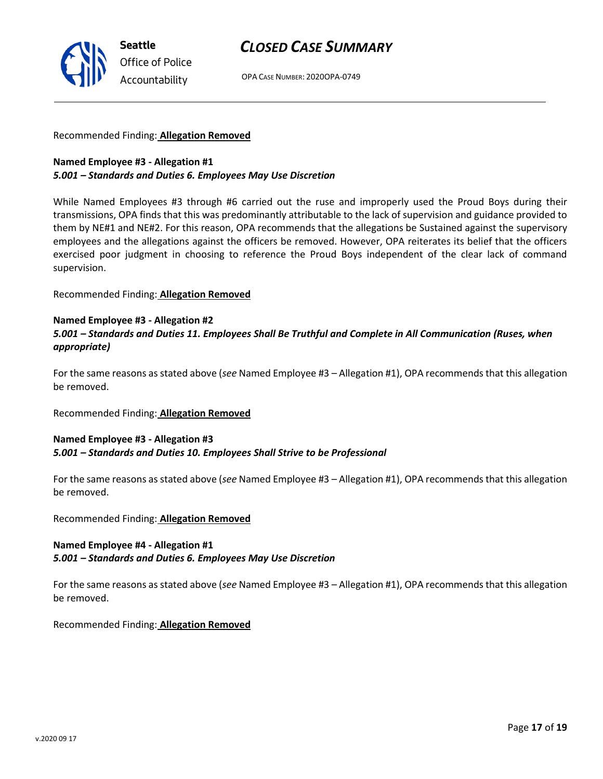OPA CASE NUMBER: 2020OPA-0749

### Recommended Finding: **Allegation Removed**

## **Named Employee #3 - Allegation #1** *5.001 – Standards and Duties 6. Employees May Use Discretion*

While Named Employees #3 through #6 carried out the ruse and improperly used the Proud Boys during their transmissions, OPA finds that this was predominantly attributable to the lack of supervision and guidance provided to them by NE#1 and NE#2. For this reason, OPA recommends that the allegations be Sustained against the supervisory employees and the allegations against the officers be removed. However, OPA reiterates its belief that the officers exercised poor judgment in choosing to reference the Proud Boys independent of the clear lack of command supervision.

Recommended Finding: **Allegation Removed**

### **Named Employee #3 - Allegation #2**

# *5.001 – Standards and Duties 11. Employees Shall Be Truthful and Complete in All Communication (Ruses, when appropriate)*

For the same reasons as stated above (*see* Named Employee #3 – Allegation #1), OPA recommends that this allegation be removed.

Recommended Finding: **Allegation Removed**

## **Named Employee #3 - Allegation #3** *5.001 – Standards and Duties 10. Employees Shall Strive to be Professional*

For the same reasons as stated above (*see* Named Employee #3 – Allegation #1), OPA recommends that this allegation be removed.

Recommended Finding: **Allegation Removed**

## **Named Employee #4 - Allegation #1** *5.001 – Standards and Duties 6. Employees May Use Discretion*

For the same reasons as stated above (*see* Named Employee #3 – Allegation #1), OPA recommends that this allegation be removed.

Recommended Finding: **Allegation Removed**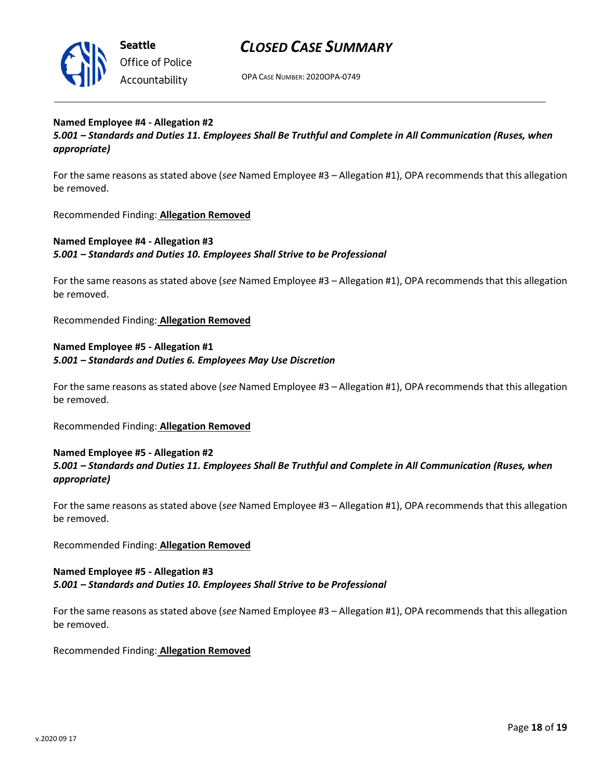

OPA CASE NUMBER: 2020OPA-0749

## **Named Employee #4 - Allegation #2** *5.001 – Standards and Duties 11. Employees Shall Be Truthful and Complete in All Communication (Ruses, when appropriate)*

For the same reasons as stated above (*see* Named Employee #3 – Allegation #1), OPA recommends that this allegation be removed.

Recommended Finding: **Allegation Removed**

# **Named Employee #4 - Allegation #3** *5.001 – Standards and Duties 10. Employees Shall Strive to be Professional*

For the same reasons as stated above (*see* Named Employee #3 – Allegation #1), OPA recommends that this allegation be removed.

Recommended Finding: **Allegation Removed**

# **Named Employee #5 - Allegation #1** *5.001 – Standards and Duties 6. Employees May Use Discretion*

For the same reasons as stated above (*see* Named Employee #3 – Allegation #1), OPA recommends that this allegation be removed.

Recommended Finding: **Allegation Removed**

# **Named Employee #5 - Allegation #2** *5.001 – Standards and Duties 11. Employees Shall Be Truthful and Complete in All Communication (Ruses, when appropriate)*

For the same reasons as stated above (*see* Named Employee #3 – Allegation #1), OPA recommends that this allegation be removed.

Recommended Finding: **Allegation Removed**

## **Named Employee #5 - Allegation #3** *5.001 – Standards and Duties 10. Employees Shall Strive to be Professional*

For the same reasons as stated above (*see* Named Employee #3 – Allegation #1), OPA recommends that this allegation be removed.

Recommended Finding: **Allegation Removed**